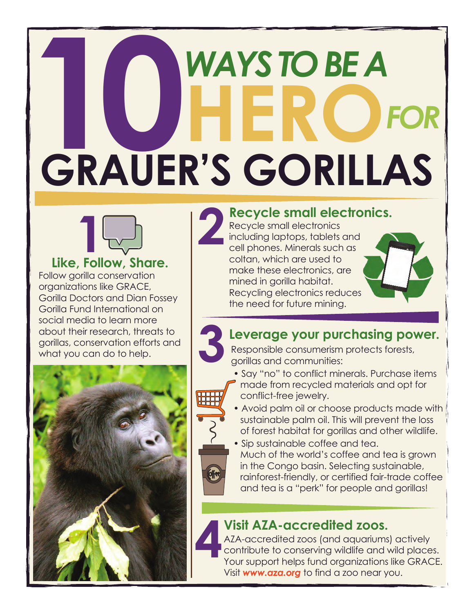# **10***WAYS TO BE A* **HERO***FOR* **GRAUER'S GORILLAS**



Follow gorilla conservation organizations like [GRACE,](https://gracegorillas.org) [Gorilla Doctors a](https://www.gorilladoctors.org)nd [Dian Fossey](https://gorillafund.org)  [Gorilla Fund International o](https://gorillafund.org)n social media to learn more about their research, threats to gorillas, conservation efforts and what you can do to help. **Like, Follow, Share.** 



### **2 Recycle small electronics.**

Recycle small electronics including laptops, tablets and cell phones. Minerals such as coltan, which are used to make these electronics, are mined in gorilla habitat. Recycling electronics reduces the need for future mining.



### **Leverage your purchasing power. 3**

Responsible consumerism protects forests, gorillas and communities:

- Say "no" to conflict minerals. Purchase items made from recycled materials and opt for conflict-free jewelry.
- Avoid palm oil or choose products made with sustainable palm oil. This will prevent the loss of forest habitat for gorillas and other wildlife.
- Sip sustainable coffee and tea. Much of the world's coffee and tea is grown in the Congo basin. Selecting sustainable, rainforest-friendly, or certified fair-trade coffee and tea is a "perk" for people and gorillas!

### **4Visit AZA-accredited zoos.**